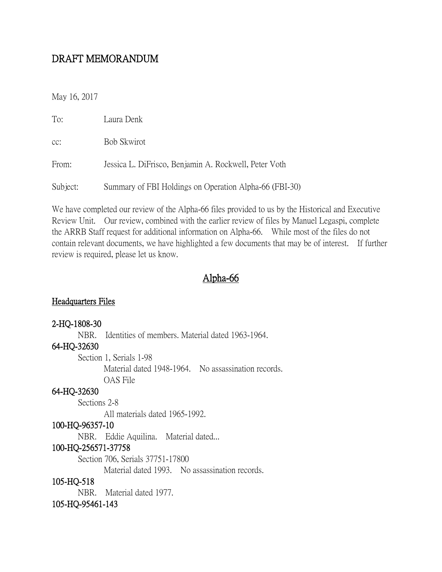## DRAFT MEMORANDUM

May 16, 2017

| To:      | Laura Denk                                             |
|----------|--------------------------------------------------------|
| CC:      | Bob Skwirot                                            |
| From:    | Jessica L. DiFrisco, Benjamin A. Rockwell, Peter Voth  |
| Subject: | Summary of FBI Holdings on Operation Alpha-66 (FBI-30) |

We have completed our review of the Alpha-66 files provided to us by the Historical and Executive Review Unit. Our review, combined with the earlier review of files by Manuel Legaspi, complete the ARRB Staff request for additional information on Alpha-66. While most of the files do not contain relevant documents, we have highlighted a few documents that may be of interest. If further review is required, please let us know.

### Alpha-66

#### Headquarters Files

#### 2-HQ-1808-30

NBR. Identities of members. Material dated 1963-1964.

#### 64-HQ-32630

Section 1, Serials 1-98 Material dated 1948-1964. No assassination records. OAS File

#### 64-HQ-32630

Sections 2-8

All materials dated 1965-1992.

#### 100-HQ-96357-10

NBR. Eddie Aquilina. Material dated...

#### 100-HQ-256571-37758

Section 706, Serials 37751-17800

Material dated 1993. No assassination records.

#### 105-HQ-518

NBR. Material dated 1977.

#### 105-HQ-95461-143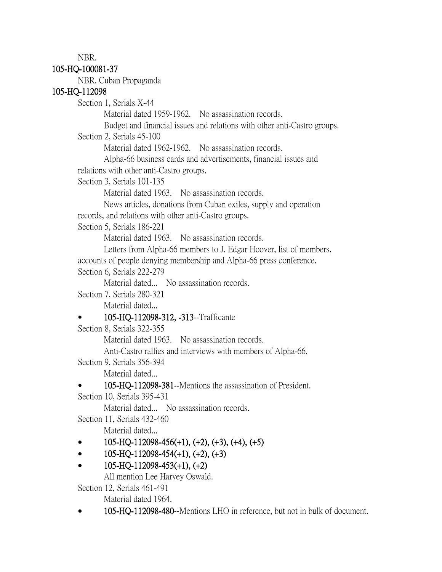NBR.

#### 105-HQ-100081-37

NBR. Cuban Propaganda

#### 105-HQ-112098

Section 1, Serials X-44

Material dated 1959-1962. No assassination records.

Budget and financial issues and relations with other anti-Castro groups.

Section 2, Serials 45-100

Material dated 1962-1962. No assassination records.

Alpha-66 business cards and advertisements, financial issues and relations with other anti-Castro groups.

Section 3, Serials 101-135

Material dated 1963. No assassination records.

News articles, donations from Cuban exiles, supply and operation records, and relations with other anti-Castro groups.

Section 5, Serials 186-221

Material dated 1963. No assassination records.

Letters from Alpha-66 members to J. Edgar Hoover, list of members, accounts of people denying membership and Alpha-66 press conference.

Section 6, Serials 222-279

Material dated... No assassination records.

Section 7, Serials 280-321

Material dated...

## • 105-HQ-112098-312, -313--Trafficante

Section 8, Serials 322-355

Material dated 1963. No assassination records.

Anti-Castro rallies and interviews with members of Alpha-66.

Section 9, Serials 356-394

Material dated...

• 105-HQ-112098-381--Mentions the assassination of President.

Section 10, Serials 395-431

Material dated... No assassination records.

Section 11, Serials 432-460

Material dated...

- 105-HQ-112098-456(+1), (+2), (+3), (+4), (+5)
- $105-HQ-112098-454(+1), (+2), (+3)$
- $105-HQ-112098-453(+1), (+2)$

All mention Lee Harvey Oswald.

Section 12, Serials 461-491

Material dated 1964.

• 105-HQ-112098-480--Mentions LHO in reference, but not in bulk of document.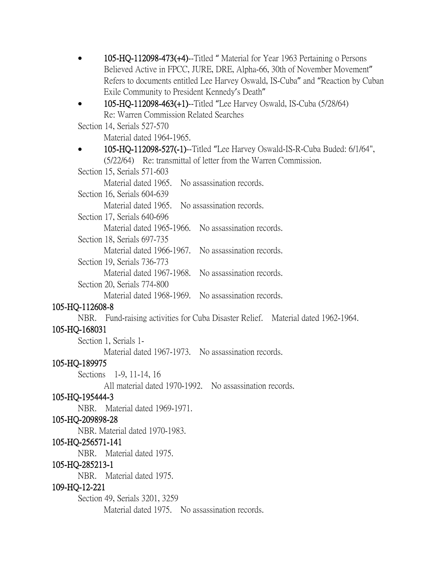• 105-HQ-112098-473(+4)--Titled " Material for Year 1963 Pertaining o Persons Believed Active in FPCC, JURE, DRE, Alpha-66, 30th of November Movement" Refers to documents entitled Lee Harvey Oswald, IS-Cuba" and "Reaction by Cuban Exile Community to President Kennedy's Death"

# • 105-HQ-112098-463(+1)--Titled "Lee Harvey Oswald, IS-Cuba  $(5/28/64)$ Re: Warren Commission Related Searches

Section 14, Serials 527-570

- Material dated 1964-1965.
- 105-HQ-112098-527(-1)--Titled "Lee Harvey Oswald-IS-R-Cuba Buded: 6/1/64", (5/22/64) Re: transmittal of letter from the Warren Commission.

Section 15, Serials 571-603

Material dated 1965. No assassination records.

Section 16, Serials 604-639

Material dated 1965. No assassination records.

Section 17, Serials 640-696

Material dated 1965-1966. No assassination records.

Section 18, Serials 697-735

Material dated 1966-1967. No assassination records.

Section 19, Serials 736-773

Material dated 1967-1968. No assassination records.

Section 20, Serials 774-800

Material dated 1968-1969. No assassination records.

## 105-HQ-112608-8

NBR. Fund-raising activities for Cuba Disaster Relief. Material dated 1962-1964.

## 105-HQ-168031

Section 1, Serials 1-

Material dated 1967-1973. No assassination records.

## 105-HQ-189975

Sections 1-9, 11-14, 16

All material dated 1970-1992. No assassination records.

## 105-HQ-195444-3

NBR. Material dated 1969-1971.

## 105-HQ-209898-28

NBR. Material dated 1970-1983.

## 105-HQ-256571-141

NBR. Material dated 1975.

## 105-HQ-285213-1

NBR. Material dated 1975.

## 109-HQ-12-221

Section 49, Serials 3201, 3259

Material dated 1975. No assassination records.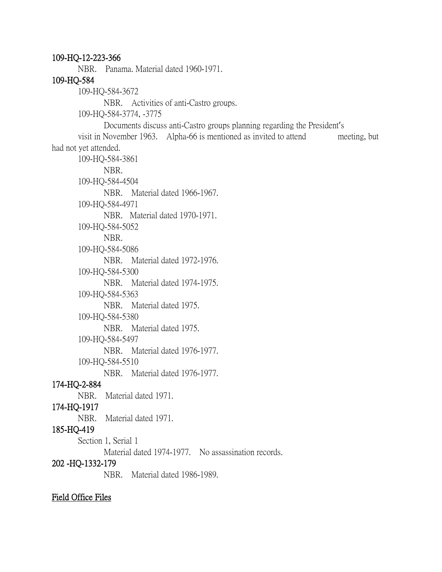109-HQ-12-223-366 NBR. Panama. Material dated 1960-1971. 109-HQ-584 109-HQ-584-3672 NBR. Activities of anti-Castro groups. 109-HQ-584-3774, -3775 Documents discuss anti-Castro groups planning regarding the President's visit in November 1963. Alpha-66 is mentioned as invited to attend meeting, but had not yet attended. 109-HQ-584-3861 NBR. 109-HQ-584-4504 NBR. Material dated 1966-1967. 109-HQ-584-4971 NBR. Material dated 1970-1971. 109-HQ-584-5052 NBR. 109-HQ-584-5086 NBR. Material dated 1972-1976. 109-HQ-584-5300 NBR. Material dated 1974-1975. 109-HQ-584-5363 NBR. Material dated 1975. 109-HQ-584-5380 NBR. Material dated 1975. 109-HQ-584-5497 NBR. Material dated 1976-1977. 109-HQ-584-5510 NBR. Material dated 1976-1977. 174-HQ-2-884 NBR. Material dated 1971. 174-HQ-1917 NBR. Material dated 1971. 185-HQ-419 Section 1, Serial 1 Material dated 1974-1977. No assassination records. 202 -HQ-1332-179 NBR. Material dated 1986-1989.

Field Office Files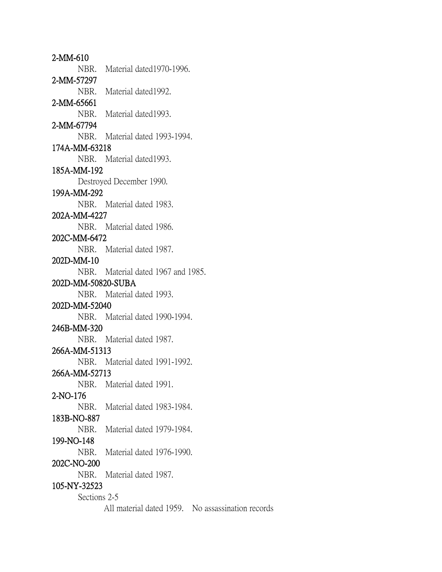2-MM-610 NBR. Material dated1970-1996. 2-MM-57297 NBR. Material dated1992. 2-MM-65661 NBR. Material dated1993. 2-MM-67794 NBR. Material dated 1993-1994. 174A-MM-63218 NBR. Material dated1993. 185A-MM-192 Destroyed December 1990. 199A-MM-292 NBR. Material dated 1983. 202A-MM-4227 NBR. Material dated 1986. 202C-MM-6472 NBR. Material dated 1987. 202D-MM-10 NBR. Material dated 1967 and 1985. 202D-MM-50820-SUBA NBR. Material dated 1993. 202D-MM-52040 NBR. Material dated 1990-1994. 246B-MM-320 NBR. Material dated 1987. 266A-MM-51313 NBR. Material dated 1991-1992. 266A-MM-52713 NBR. Material dated 1991. 2-NO-176 NBR. Material dated 1983-1984. 183B-NO-887 NBR. Material dated 1979-1984. 199-NO-148 NBR. Material dated 1976-1990. 202C-NO-200 NBR. Material dated 1987. 105-NY-32523 Sections 2-5 All material dated 1959. No assassination records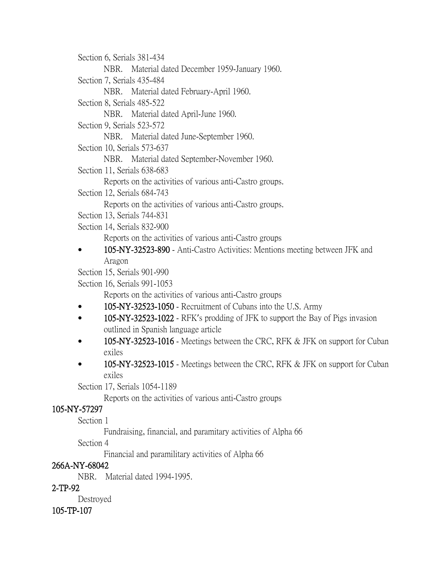Section 6, Serials 381-434

NBR. Material dated December 1959-January 1960.

Section 7, Serials 435-484

NBR. Material dated February-April 1960.

Section 8, Serials 485-522

NBR. Material dated April-June 1960.

Section 9, Serials 523-572

NBR. Material dated June-September 1960.

Section 10, Serials 573-637

NBR. Material dated September-November 1960.

Section 11, Serials 638-683

Reports on the activities of various anti-Castro groups.

Section 12, Serials 684-743

Reports on the activities of various anti-Castro groups.

Section 13, Serials 744-831

Section 14, Serials 832-900

Reports on the activities of various anti-Castro groups

• 105-NY-32523-890 - Anti-Castro Activities: Mentions meeting between JFK and Aragon

Section 15, Serials 901-990

Section 16, Serials 991-1053

Reports on the activities of various anti-Castro groups

- 105-NY-32523-1050 Recruitment of Cubans into the U.S. Army
- 105-NY-32523-1022 RFK's prodding of JFK to support the Bay of Pigs invasion outlined in Spanish language article
- 105-NY-32523-1016 Meetings between the CRC, RFK & JFK on support for Cuban exiles
- 105-NY-32523-1015 Meetings between the CRC, RFK & JFK on support for Cuban exiles

Section 17, Serials 1054-1189

Reports on the activities of various anti-Castro groups

# 105-NY-57297

Section 1

Fundraising, financial, and paramitary activities of Alpha 66

Section 4

Financial and paramilitary activities of Alpha 66

# 266A-NY-68042

NBR. Material dated 1994-1995.

# 2-TP-92

Destroyed

# 105-TP-107